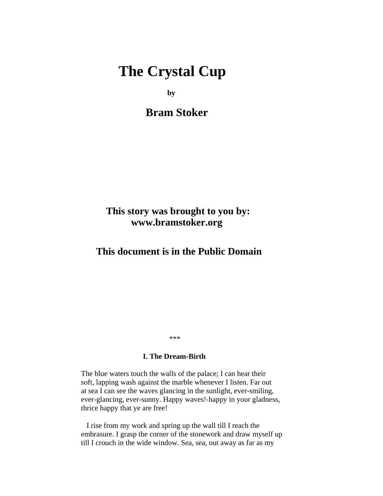# **The Crystal Cup**

 **by** 

## **Bram Stoker**

### **This story was brought to you by: www.bramstoker.org**

### **This document is in the Public Domain**

 $***$ 

### **I. The Dream-Birth**

The blue waters touch the walls of the palace; I can hear their soft, lapping wash against the marble whenever I listen. Far out at sea I can see the waves glancing in the sunlight, ever-smiling, ever-glancing, ever-sunny. Happy waves!-happy in your gladness, thrice happy that ye are free!

 I rise from my work and spring up the wall till I reach the embrasure. I grasp the corner of the stonework and draw myself up till I crouch in the wide window. Sea, sea, out away as far as my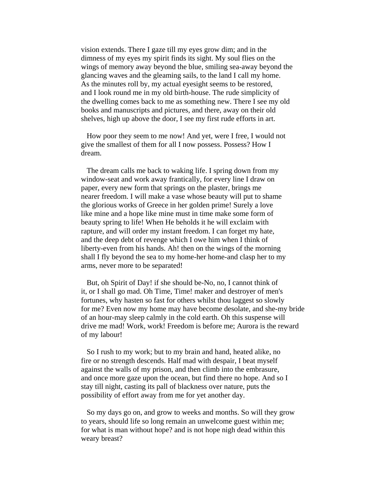vision extends. There I gaze till my eyes grow dim; and in the dimness of my eyes my spirit finds its sight. My soul flies on the wings of memory away beyond the blue, smiling sea-away beyond the glancing waves and the gleaming sails, to the land I call my home. As the minutes roll by, my actual eyesight seems to be restored, and I look round me in my old birth-house. The rude simplicity of the dwelling comes back to me as something new. There I see my old books and manuscripts and pictures, and there, away on their old shelves, high up above the door, I see my first rude efforts in art.

 How poor they seem to me now! And yet, were I free, I would not give the smallest of them for all I now possess. Possess? How I dream.

 The dream calls me back to waking life. I spring down from my window-seat and work away frantically, for every line I draw on paper, every new form that springs on the plaster, brings me nearer freedom. I will make a vase whose beauty will put to shame the glorious works of Greece in her golden prime! Surely a love like mine and a hope like mine must in time make some form of beauty spring to life! When He beholds it he will exclaim with rapture, and will order my instant freedom. I can forget my hate, and the deep debt of revenge which I owe him when I think of liberty-even from his hands. Ah! then on the wings of the morning shall I fly beyond the sea to my home-her home-and clasp her to my arms, never more to be separated!

 But, oh Spirit of Day! if she should be-No, no, I cannot think of it, or I shall go mad. Oh Time, Time! maker and destroyer of men's fortunes, why hasten so fast for others whilst thou laggest so slowly for me? Even now my home may have become desolate, and she-my bride of an hour-may sleep calmly in the cold earth. Oh this suspense will drive me mad! Work, work! Freedom is before me; Aurora is the reward of my labour!

 So I rush to my work; but to my brain and hand, heated alike, no fire or no strength descends. Half mad with despair, I beat myself against the walls of my prison, and then climb into the embrasure, and once more gaze upon the ocean, but find there no hope. And so I stay till night, casting its pall of blackness over nature, puts the possibility of effort away from me for yet another day.

 So my days go on, and grow to weeks and months. So will they grow to years, should life so long remain an unwelcome guest within me; for what is man without hope? and is not hope nigh dead within this weary breast?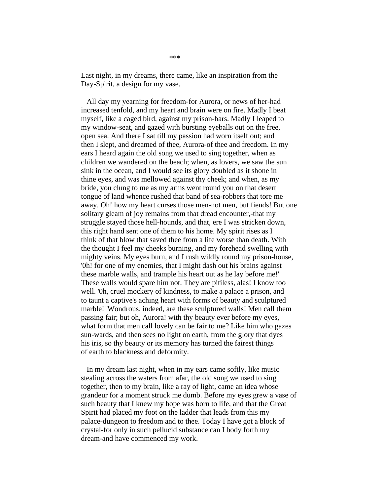Last night, in my dreams, there came, like an inspiration from the Day-Spirit, a design for my vase.

 All day my yearning for freedom-for Aurora, or news of her-had increased tenfold, and my heart and brain were on fire. Madly I beat myself, like a caged bird, against my prison-bars. Madly I leaped to my window-seat, and gazed with bursting eyeballs out on the free, open sea. And there I sat till my passion had worn itself out; and then I slept, and dreamed of thee, Aurora-of thee and freedom. In my ears I heard again the old song we used to sing together, when as children we wandered on the beach; when, as lovers, we saw the sun sink in the ocean, and I would see its glory doubled as it shone in thine eyes, and was mellowed against thy cheek; and when, as my bride, you clung to me as my arms went round you on that desert tongue of land whence rushed that band of sea-robbers that tore me away. Oh! how my heart curses those men-not men, but fiends! But one solitary gleam of joy remains from that dread encounter,-that my struggle stayed those hell-hounds, and that, ere I was stricken down, this right hand sent one of them to his home. My spirit rises as I think of that blow that saved thee from a life worse than death. With the thought I feel my cheeks burning, and my forehead swelling with mighty veins. My eyes burn, and I rush wildly round my prison-house, '0h! for one of my enemies, that I might dash out his brains against these marble walls, and trample his heart out as he lay before me!' These walls would spare him not. They are pitiless, alas! I know too well. '0h, cruel mockery of kindness, to make a palace a prison, and to taunt a captive's aching heart with forms of beauty and sculptured marble!' Wondrous, indeed, are these sculptured walls! Men call them passing fair; but oh, Aurora! with thy beauty ever before my eyes, what form that men call lovely can be fair to me? Like him who gazes sun-wards, and then sees no light on earth, from the glory that dyes his iris, so thy beauty or its memory has turned the fairest things of earth to blackness and deformity.

 In my dream last night, when in my ears came softly, like music stealing across the waters from afar, the old song we used to sing together, then to my brain, like a ray of light, came an idea whose grandeur for a moment struck me dumb. Before my eyes grew a vase of such beauty that I knew my hope was born to life, and that the Great Spirit had placed my foot on the ladder that leads from this my palace-dungeon to freedom and to thee. Today I have got a block of crystal-for only in such pellucid substance can I body forth my dream-and have commenced my work.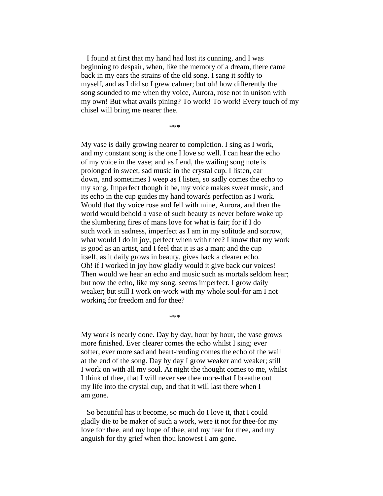I found at first that my hand had lost its cunning, and I was beginning to despair, when, like the memory of a dream, there came back in my ears the strains of the old song. I sang it softly to myself, and as I did so I grew calmer; but oh! how differently the song sounded to me when thy voice, Aurora, rose not in unison with my own! But what avails pining? To work! To work! Every touch of my chisel will bring me nearer thee.

 $***$ 

My vase is daily growing nearer to completion. I sing as I work, and my constant song is the one I love so well. I can hear the echo of my voice in the vase; and as I end, the wailing song note is prolonged in sweet, sad music in the crystal cup. I listen, ear down, and sometimes I weep as I listen, so sadly comes the echo to my song. Imperfect though it be, my voice makes sweet music, and its echo in the cup guides my hand towards perfection as I work. Would that thy voice rose and fell with mine, Aurora, and then the world would behold a vase of such beauty as never before woke up the slumbering fires of mans love for what is fair; for if I do such work in sadness, imperfect as I am in my solitude and sorrow, what would I do in joy, perfect when with thee? I know that my work is good as an artist, and I feel that it is as a man; and the cup itself, as it daily grows in beauty, gives back a clearer echo. Oh! if I worked in joy how gladly would it give back our voices! Then would we hear an echo and music such as mortals seldom hear; but now the echo, like my song, seems imperfect. I grow daily weaker; but still I work on-work with my whole soul-for am I not working for freedom and for thee?

 $***$ 

My work is nearly done. Day by day, hour by hour, the vase grows more finished. Ever clearer comes the echo whilst I sing; ever softer, ever more sad and heart-rending comes the echo of the wail at the end of the song. Day by day I grow weaker and weaker; still I work on with all my soul. At night the thought comes to me, whilst I think of thee, that I will never see thee more-that I breathe out my life into the crystal cup, and that it will last there when I am gone.

 So beautiful has it become, so much do I love it, that I could gladly die to be maker of such a work, were it not for thee-for my love for thee, and my hope of thee, and my fear for thee, and my anguish for thy grief when thou knowest I am gone.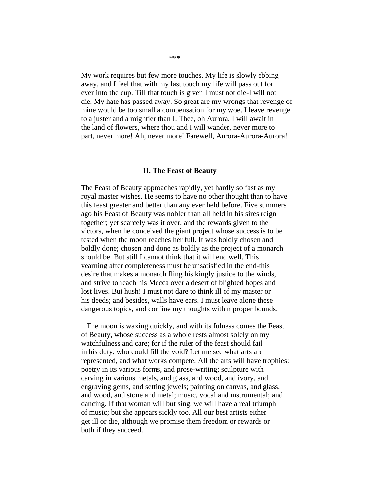My work requires but few more touches. My life is slowly ebbing away, and I feel that with my last touch my life will pass out for ever into the cup. Till that touch is given I must not die-I will not die. My hate has passed away. So great are my wrongs that revenge of mine would be too small a compensation for my woe. I leave revenge to a juster and a mightier than I. Thee, oh Aurora, I will await in the land of flowers, where thou and I will wander, never more to part, never more! Ah, never more! Farewell, Aurora-Aurora-Aurora!

#### **II. The Feast of Beauty**

The Feast of Beauty approaches rapidly, yet hardly so fast as my royal master wishes. He seems to have no other thought than to have this feast greater and better than any ever held before. Five summers ago his Feast of Beauty was nobler than all held in his sires reign together; yet scarcely was it over, and the rewards given to the victors, when he conceived the giant project whose success is to be tested when the moon reaches her full. It was boldly chosen and boldly done; chosen and done as boldly as the project of a monarch should be. But still I cannot think that it will end well. This yearning after completeness must be unsatisfied in the end-this desire that makes a monarch fling his kingly justice to the winds, and strive to reach his Mecca over a desert of blighted hopes and lost lives. But hush! I must not dare to think ill of my master or his deeds; and besides, walls have ears. I must leave alone these dangerous topics, and confine my thoughts within proper bounds.

 The moon is waxing quickly, and with its fulness comes the Feast of Beauty, whose success as a whole rests almost solely on my watchfulness and care; for if the ruler of the feast should fail in his duty, who could fill the void? Let me see what arts are represented, and what works compete. All the arts will have trophies: poetry in its various forms, and prose-writing; sculpture with carving in various metals, and glass, and wood, and ivory, and engraving gems, and setting jewels; painting on canvas, and glass, and wood, and stone and metal; music, vocal and instrumental; and dancing. If that woman will but sing, we will have a real triumph of music; but she appears sickly too. All our best artists either get ill or die, although we promise them freedom or rewards or both if they succeed.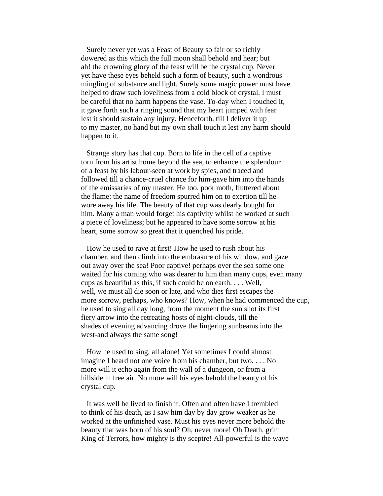Surely never yet was a Feast of Beauty so fair or so richly dowered as this which the full moon shall behold and hear; but ah! the crowning glory of the feast will be the crystal cup. Never yet have these eyes beheld such a form of beauty, such a wondrous mingling of substance and light. Surely some magic power must have helped to draw such loveliness from a cold block of crystal. I must be careful that no harm happens the vase. To-day when I touched it, it gave forth such a ringing sound that my heart jumped with fear lest it should sustain any injury. Henceforth, till I deliver it up to my master, no hand but my own shall touch it lest any harm should happen to it.

 Strange story has that cup. Born to life in the cell of a captive torn from his artist home beyond the sea, to enhance the splendour of a feast by his labour-seen at work by spies, and traced and followed till a chance-cruel chance for him-gave him into the hands of the emissaries of my master. He too, poor moth, fluttered about the flame: the name of freedom spurred him on to exertion till he wore away his life. The beauty of that cup was dearly bought for him. Many a man would forget his captivity whilst he worked at such a piece of loveliness; but he appeared to have some sorrow at his heart, some sorrow so great that it quenched his pride.

 How he used to rave at first! How he used to rush about his chamber, and then climb into the embrasure of his window, and gaze out away over the sea! Poor captive! perhaps over the sea some one waited for his coming who was dearer to him than many cups, even many cups as beautiful as this, if such could be on earth. . . . Well, well, we must all die soon or late, and who dies first escapes the more sorrow, perhaps, who knows? How, when he had commenced the cup, he used to sing all day long, from the moment the sun shot its first fiery arrow into the retreating hosts of night-clouds, till the shades of evening advancing drove the lingering sunbeams into the west-and always the same song!

 How he used to sing, all alone! Yet sometimes I could almost imagine I heard not one voice from his chamber, but two. . . . No more will it echo again from the wall of a dungeon, or from a hillside in free air. No more will his eyes behold the beauty of his crystal cup.

 It was well he lived to finish it. Often and often have I trembled to think of his death, as I saw him day by day grow weaker as he worked at the unfinished vase. Must his eyes never more behold the beauty that was born of his soul? Oh, never more! Oh Death, grim King of Terrors, how mighty is thy sceptre! All-powerful is the wave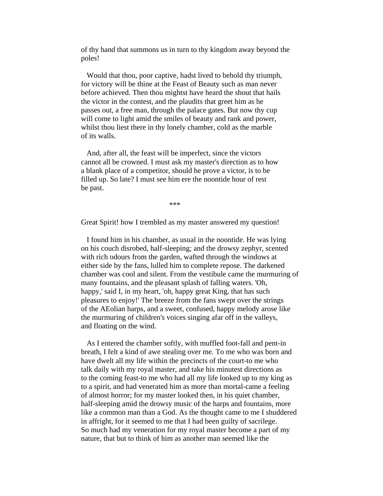of thy hand that summons us in turn to thy kingdom away beyond the poles!

 Would that thou, poor captive, hadst lived to behold thy triumph, for victory will be thine at the Feast of Beauty such as man never before achieved. Then thou mightst have heard the shout that hails the victor in the contest, and the plaudits that greet him as he passes out, a free man, through the palace gates. But now thy cup will come to light amid the smiles of beauty and rank and power, whilst thou liest there in thy lonely chamber, cold as the marble of its walls.

 And, after all, the feast will be imperfect, since the victors cannot all be crowned. I must ask my master's direction as to how a blank place of a competitor, should he prove a victor, is to be filled up. So late? I must see him ere the noontide hour of rest be past.

 $***$ 

Great Spirit! how I trembled as my master answered my question!

 I found him in his chamber, as usual in the noontide. He was lying on his couch disrobed, half-sleeping; and the drowsy zephyr, scented with rich odours from the garden, wafted through the windows at either side by the fans, lulled him to complete repose. The darkened chamber was cool and silent. From the vestibule came the murmuring of many fountains, and the pleasant splash of falling waters. 'Oh, happy,' said I, in my heart, 'oh, happy great King, that has such pleasures to enjoy!' The breeze from the fans swept over the strings of the AEolian harps, and a sweet, confused, happy melody arose like the murmuring of children's voices singing afar off in the valleys, and floating on the wind.

 As I entered the chamber softly, with muffled foot-fall and pent-in breath, I felt a kind of awe stealing over me. To me who was born and have dwelt all my life within the precincts of the court-to me who talk daily with my royal master, and take his minutest directions as to the coming feast-to me who had all my life looked up to my king as to a spirit, and had venerated him as more than mortal-came a feeling of almost horror; for my master looked then, in his quiet chamber, half-sleeping amid the drowsy music of the harps and fountains, more like a common man than a God. As the thought came to me I shuddered in affright, for it seemed to me that I had been guilty of sacrilege. So much had my veneration for my royal master become a part of my nature, that but to think of him as another man seemed like the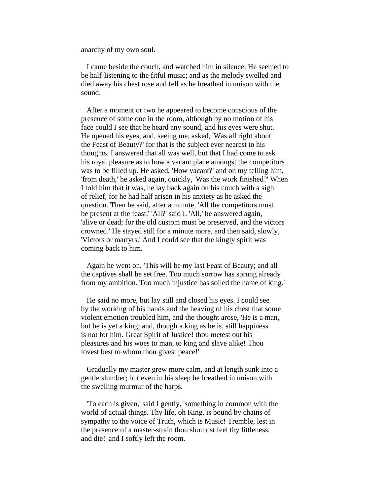anarchy of my own soul.

 I came beside the couch, and watched him in silence. He seemed to be half-listening to the fitful music; and as the melody swelled and died away his chest rose and fell as he breathed in unison with the sound.

 After a moment or two he appeared to become conscious of the presence of some one in the room, although by no motion of his face could I see that he heard any sound, and his eyes were shut. He opened his eyes, and, seeing me, asked, 'Was all right about the Feast of Beauty?' for that is the subject ever nearest to his thoughts. I answered that all was well, but that I had come to ask his royal pleasure as to how a vacant place amongst the competitors was to be filled up. He asked, 'How vacant?' and on my telling him, 'from death,' he asked again, quickly, 'Was the work finished?' When I told him that it was, he lay back again on his couch with a sigh of relief, for he had half arisen in his anxiety as he asked the question. Then he said, after a minute, 'All the competitors must be present at the feast.' 'All?' said I. 'All,' he answered again, 'alive or dead; for the old custom must be preserved, and the victors crowned.' He stayed still for a minute more, and then said, slowly, 'Victors or martyrs.' And I could see that the kingly spirit was coming back to him.

 Again he went on. 'This will be my last Feast of Beauty; and all the captives shall be set free. Too much sorrow has sprung already from my ambition. Too much injustice has soiled the name of king.'

 He said no more, but lay still and closed his eyes. I could see by the working of his hands and the heaving of his chest that some violent emotion troubled him, and the thought arose, 'He is a man, but he is yet a king; and, though a king as he is, still happiness is not for him. Great Spirit of Justice! thou metest out his pleasures and his woes to man, to king and slave alike! Thou lovest best to whom thou givest peace!'

 Gradually my master grew more calm, and at length sunk into a gentle slumber; but even in his sleep he breathed in unison with the swelling murmur of the harps.

 'To each is given,' said I gently, 'something in common with the world of actual things. Thy life, oh King, is bound by chains of sympathy to the voice of Truth, which is Music! Tremble, lest in the presence of a master-strain thou shouldst feel thy littleness, and die!' and I softly left the room.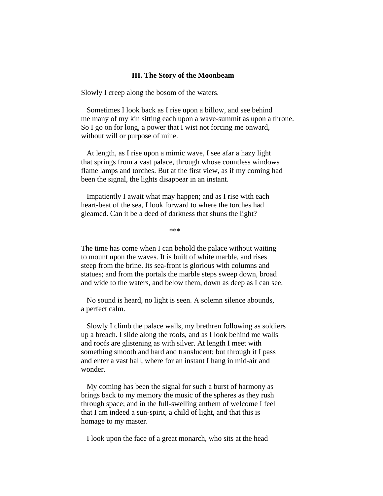#### **III. The Story of the Moonbeam**

Slowly I creep along the bosom of the waters.

 Sometimes I look back as I rise upon a billow, and see behind me many of my kin sitting each upon a wave-summit as upon a throne. So I go on for long, a power that I wist not forcing me onward, without will or purpose of mine.

 At length, as I rise upon a mimic wave, I see afar a hazy light that springs from a vast palace, through whose countless windows flame lamps and torches. But at the first view, as if my coming had been the signal, the lights disappear in an instant.

 Impatiently I await what may happen; and as I rise with each heart-beat of the sea, I look forward to where the torches had gleamed. Can it be a deed of darkness that shuns the light?

 $***$ 

The time has come when I can behold the palace without waiting to mount upon the waves. It is built of white marble, and rises steep from the brine. Its sea-front is glorious with columns and statues; and from the portals the marble steps sweep down, broad and wide to the waters, and below them, down as deep as I can see.

 No sound is heard, no light is seen. A solemn silence abounds, a perfect calm.

 Slowly I climb the palace walls, my brethren following as soldiers up a breach. I slide along the roofs, and as I look behind me walls and roofs are glistening as with silver. At length I meet with something smooth and hard and translucent; but through it I pass and enter a vast hall, where for an instant I hang in mid-air and wonder.

 My coming has been the signal for such a burst of harmony as brings back to my memory the music of the spheres as they rush through space; and in the full-swelling anthem of welcome I feel that I am indeed a sun-spirit, a child of light, and that this is homage to my master.

I look upon the face of a great monarch, who sits at the head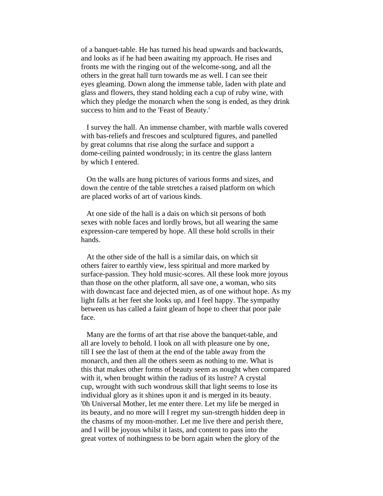of a banquet-table. He has turned his head upwards and backwards, and looks as if he had been awaiting my approach. He rises and fronts me with the ringing out of the welcome-song, and all the others in the great hall turn towards me as well. I can see their eyes gleaming. Down along the immense table, laden with plate and glass and flowers, they stand holding each a cup of ruby wine, with which they pledge the monarch when the song is ended, as they drink success to him and to the 'Feast of Beauty.'

 I survey the hall. An immense chamber, with marble walls covered with bas-reliefs and frescoes and sculptured figures, and panelled by great columns that rise along the surface and support a dome-ceiling painted wondrously; in its centre the glass lantern by which I entered.

 On the walls are hung pictures of various forms and sizes, and down the centre of the table stretches a raised platform on which are placed works of art of various kinds.

 At one side of the hall is a dais on which sit persons of both sexes with noble faces and lordly brows, but all wearing the same expression-care tempered by hope. All these hold scrolls in their hands.

 At the other side of the hall is a similar dais, on which sit others fairer to earthly view, less spiritual and more marked by surface-passion. They hold music-scores. All these look more joyous than those on the other platform, all save one, a woman, who sits with downcast face and dejected mien, as of one without hope. As my light falls at her feet she looks up, and I feel happy. The sympathy between us has called a faint gleam of hope to cheer that poor pale face.

 Many are the forms of art that rise above the banquet-table, and all are lovely to behold. I look on all with pleasure one by one, till I see the last of them at the end of the table away from the monarch, and then all the others seem as nothing to me. What is this that makes other forms of beauty seem as nought when compared with it, when brought within the radius of its lustre? A crystal cup, wrought with such wondrous skill that light seems to lose its individual glory as it shines upon it and is merged in its beauty. '0h Universal Mother, let me enter there. Let my life be merged in its beauty, and no more will I regret my sun-strength hidden deep in the chasms of my moon-mother. Let me live there and perish there, and I will be joyous whilst it lasts, and content to pass into the great vortex of nothingness to be born again when the glory of the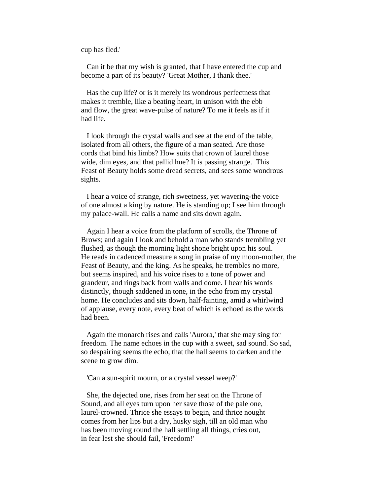cup has fled.'

 Can it be that my wish is granted, that I have entered the cup and become a part of its beauty? 'Great Mother, I thank thee.'

 Has the cup life? or is it merely its wondrous perfectness that makes it tremble, like a beating heart, in unison with the ebb and flow, the great wave-pulse of nature? To me it feels as if it had life.

 I look through the crystal walls and see at the end of the table, isolated from all others, the figure of a man seated. Are those cords that bind his limbs? How suits that crown of laurel those wide, dim eyes, and that pallid hue? It is passing strange. This Feast of Beauty holds some dread secrets, and sees some wondrous sights.

 I hear a voice of strange, rich sweetness, yet wavering-the voice of one almost a king by nature. He is standing up; I see him through my palace-wall. He calls a name and sits down again.

 Again I hear a voice from the platform of scrolls, the Throne of Brows; and again I look and behold a man who stands trembling yet flushed, as though the morning light shone bright upon his soul. He reads in cadenced measure a song in praise of my moon-mother, the Feast of Beauty, and the king. As he speaks, he trembles no more, but seems inspired, and his voice rises to a tone of power and grandeur, and rings back from walls and dome. I hear his words distinctly, though saddened in tone, in the echo from my crystal home. He concludes and sits down, half-fainting, amid a whirlwind of applause, every note, every beat of which is echoed as the words had been.

 Again the monarch rises and calls 'Aurora,' that she may sing for freedom. The name echoes in the cup with a sweet, sad sound. So sad, so despairing seems the echo, that the hall seems to darken and the scene to grow dim.

'Can a sun-spirit mourn, or a crystal vessel weep?'

 She, the dejected one, rises from her seat on the Throne of Sound, and all eyes turn upon her save those of the pale one, laurel-crowned. Thrice she essays to begin, and thrice nought comes from her lips but a dry, husky sigh, till an old man who has been moving round the hall settling all things, cries out, in fear lest she should fail, 'Freedom!'